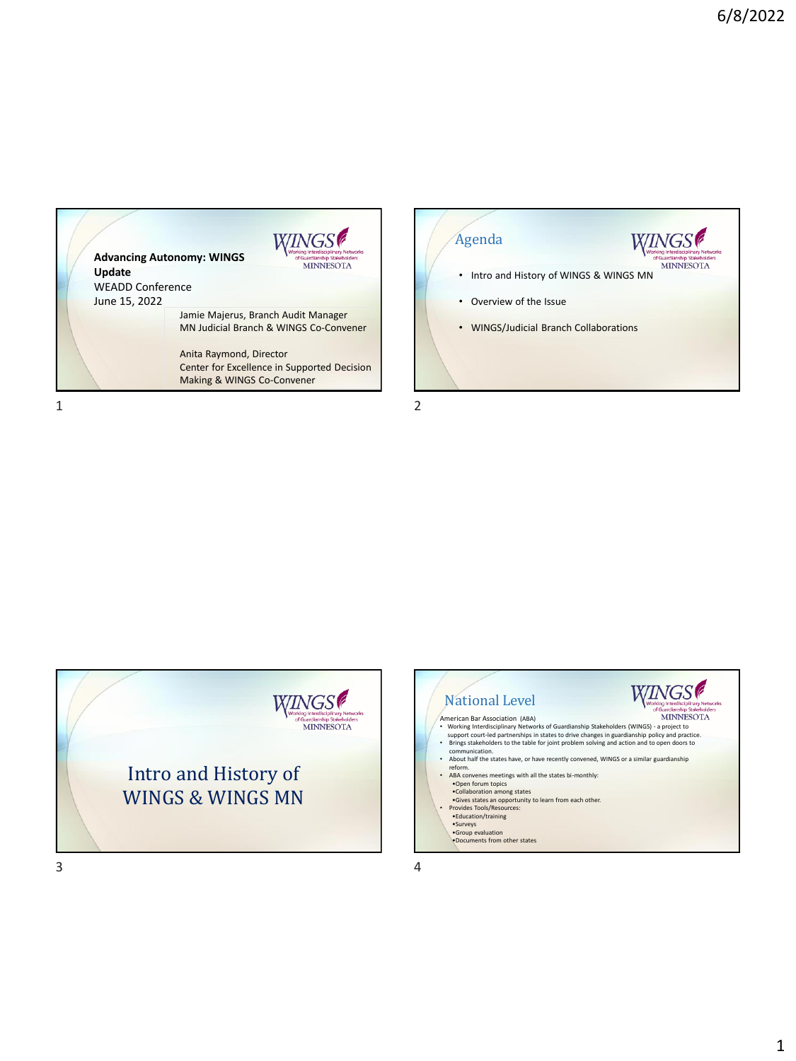





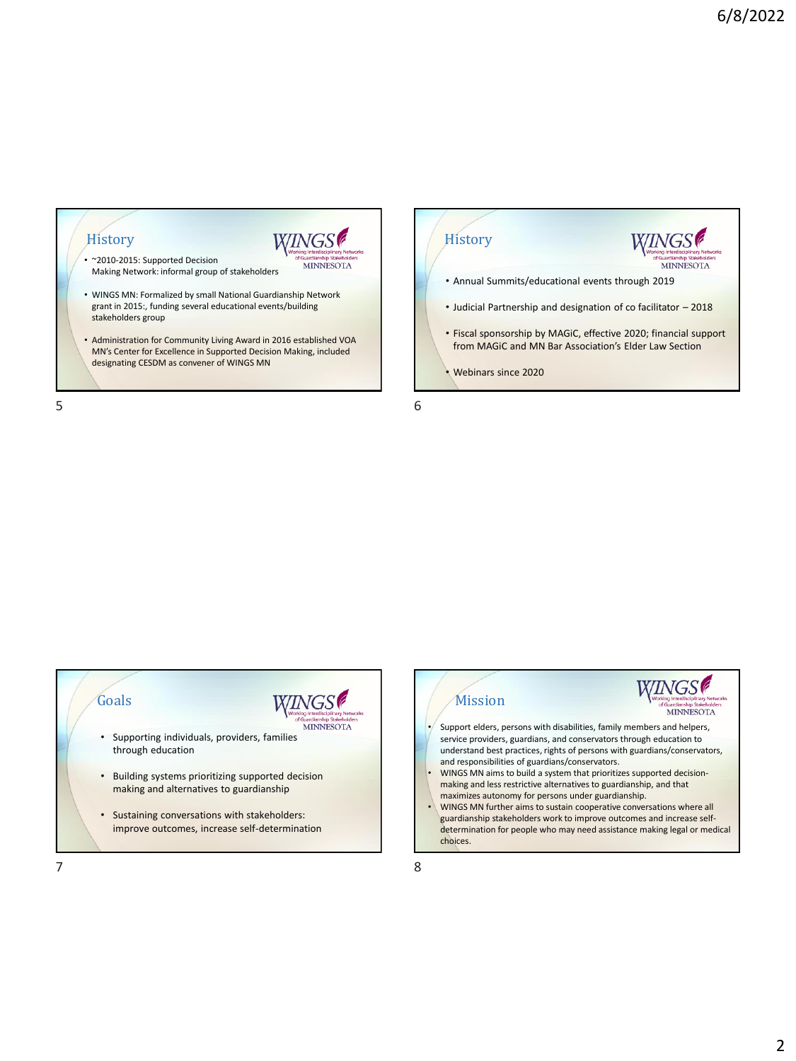







 $7$  8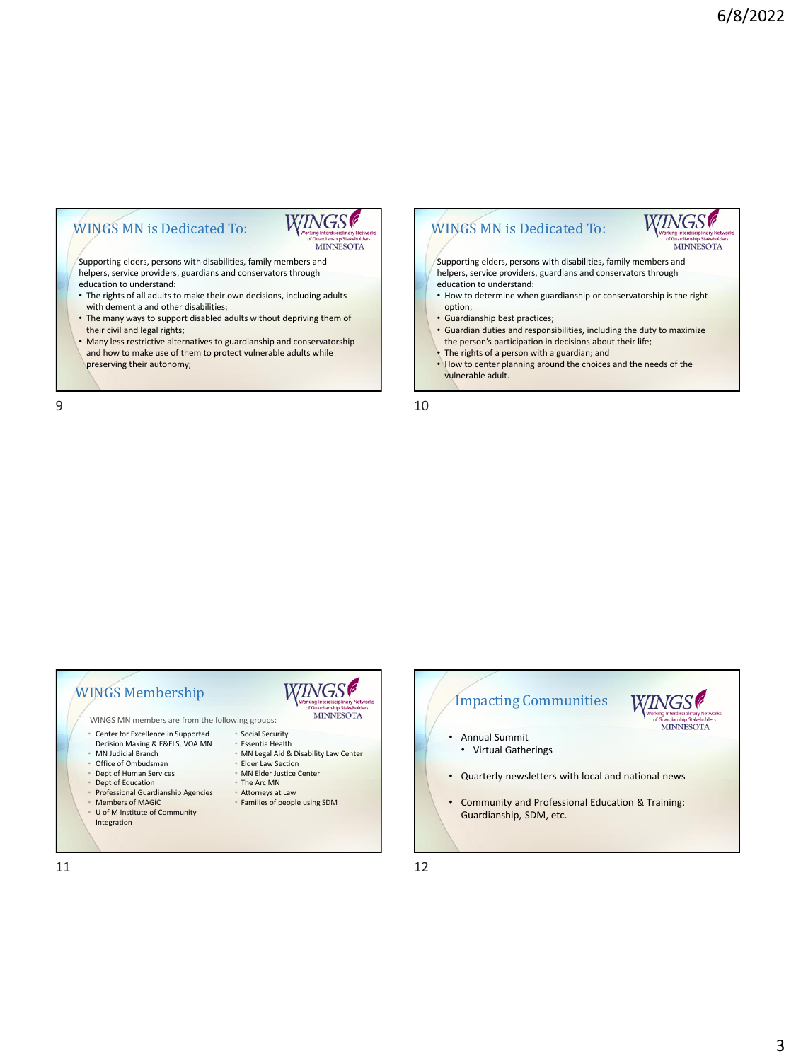### WINGS MN is Dedicated To:



Supporting elders, persons with disabilities, family members and helpers, service providers, guardians and conservators through education to understand:

- The rights of all adults to make their own decisions, including adults with dementia and other disabilities;
- The many ways to support disabled adults without depriving them of their civil and legal rights;
- Many less restrictive alternatives to guardianship and conservatorship and how to make use of them to protect vulnerable adults while preserving their autonomy;

 $9 \hspace{2.5cm} 10$ 

#### **WINGS** WINGS Membership MINNESOTA WINGS MN members are from the following groups: • Center for Excellence in Supported • Social Security • Essentia Health Decision Making & E&ELS, VOA MN • MN Judicial Branch • MN Legal Aid & Disability Law Center • Office of Ombudsman • Elder Law Section • Dept of Human Services • MN Elder Justice Center • Dept of Education • The Arc MN • Professional Guardianship Agencies • Attorneys at Law Members of MAGiC • Families of people using SDM U of M Institute of Community Integration



WINGS MN is Dedicated To:

education to understand:

vulnerable adult.

• Guardianship best practices;

option;

Supporting elders, persons with disabilities, family members and helpers, service providers, guardians and conservators through

• How to determine when guardianship or conservatorship is the right

*WINGS* 

**MINNESOTA** 

• Guardian duties and responsibilities, including the duty to maximize the person's participation in decisions about their life; • The rights of a person with a guardian; and

• How to center planning around the choices and the needs of the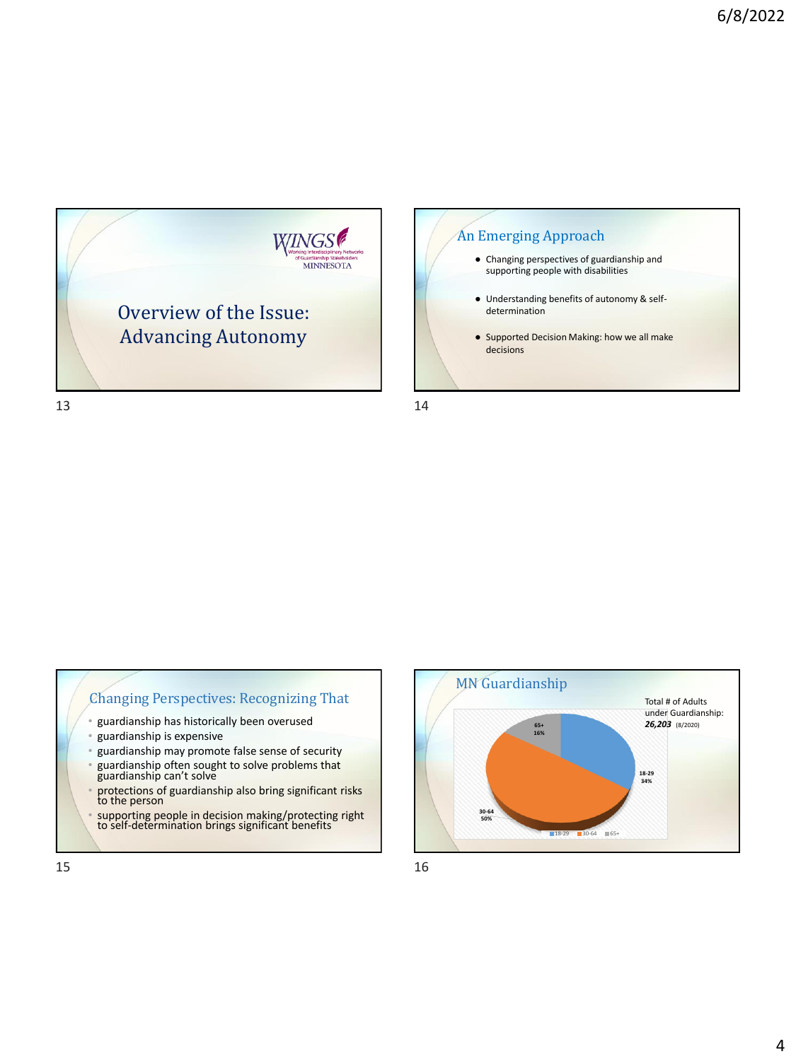



Changing Perspectives: Recognizing That

- guardianship has historically been overused
- guardianship is expensive
- guardianship may promote false sense of security
- guardianship often sought to solve problems that guardianship can't solve
- protections of guardianship also bring significant risks to the person
- supporting people in decision making/protecting right to self-determination brings significant benefits

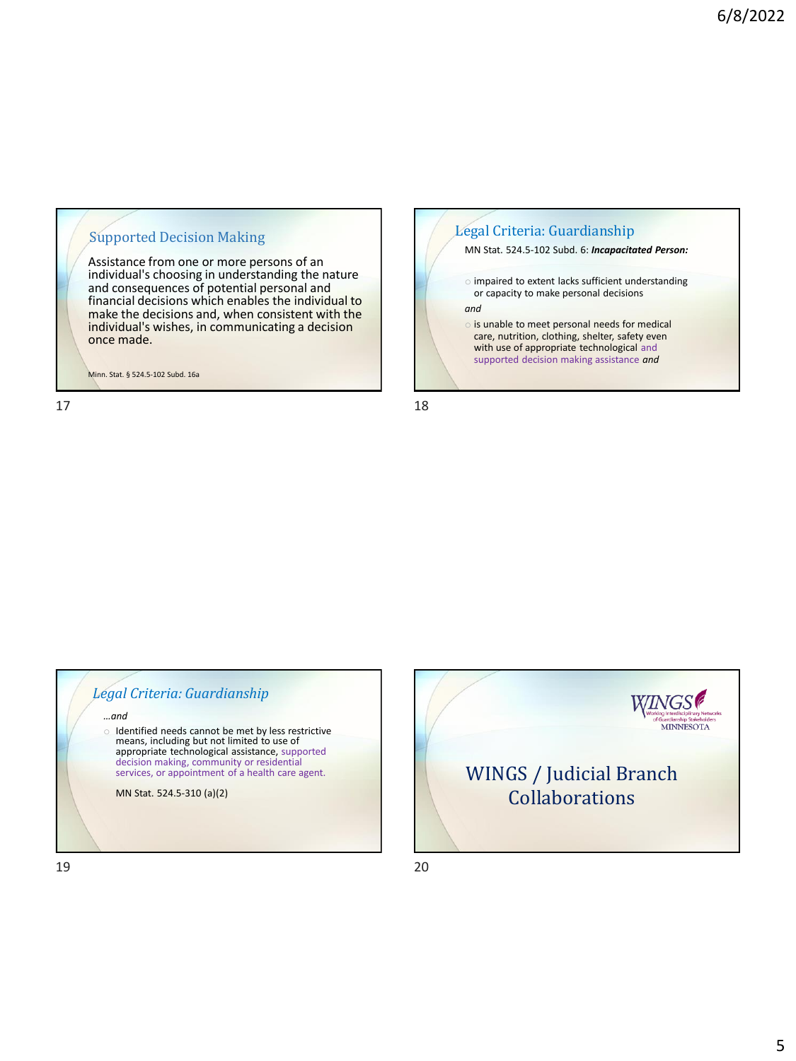#### Supported Decision Making

Assistance from one or more persons of an individual's choosing in understanding the nature and consequences of potential personal and financial decisions which enables the individual to make the decisions and, when consistent with the individual's wishes, in communicating a decision once made.

Minn. Stat. § 524.5-102 Subd. 16a



*Legal Criteria: Guardianship …and* o Identified needs cannot be met by less restrictive means, including but not limited to use of appropriate technological assistance, supported decision making, community or residential services, or appointment of a health care agent. MN Stat. 524.5-310 (a)(2)

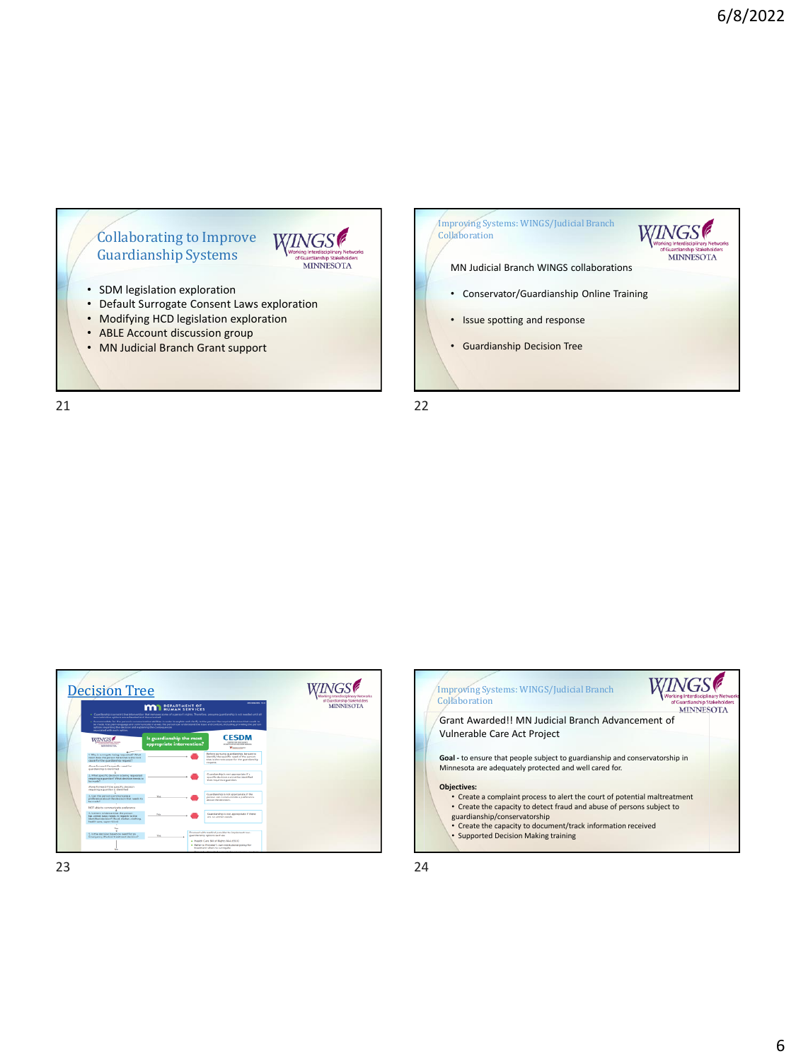## Collaborating to Improve WINGS Guardianship Systems

- SDM legislation exploration
- Default Surrogate Consent Laws exploration
- Modifying HCD legislation exploration
- ABLE Account discussion group
- MN Judicial Branch Grant support

21 22



MINNESOTA





23 24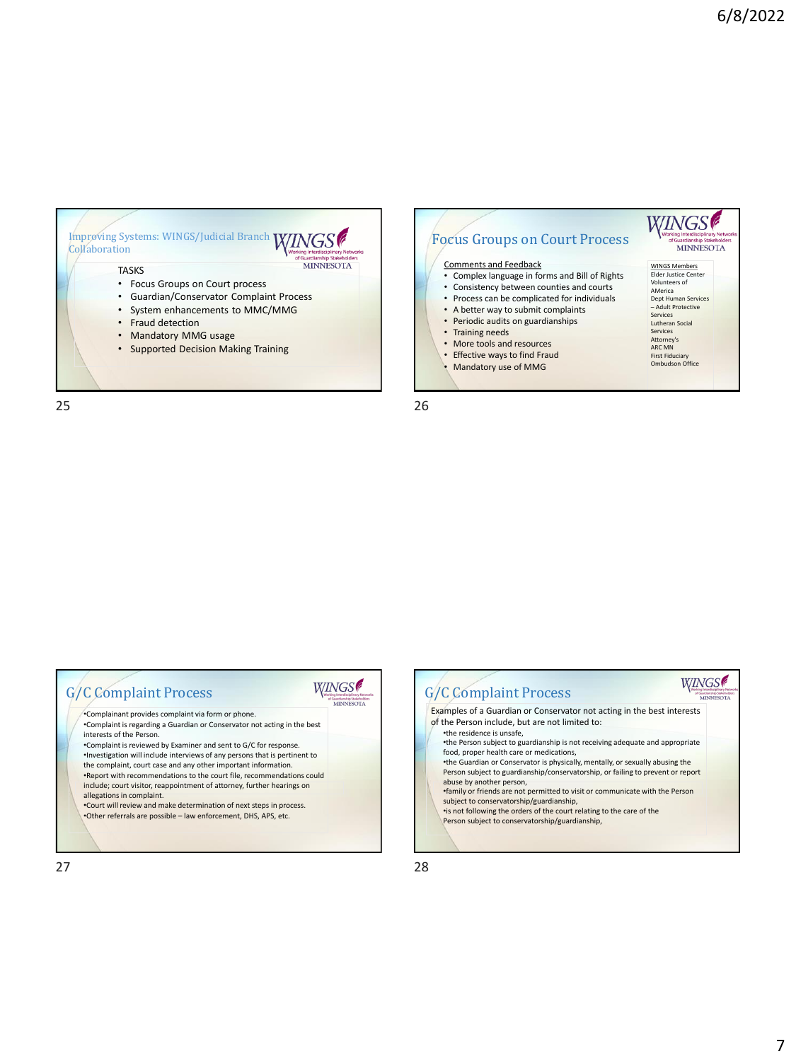

- Guardian/Conservator Complaint Process
- System enhancements to MMC/MMG
- Fraud detection
- Mandatory MMG usage
- Supported Decision Making Training

Focus Groups on Court Process MINNESOTA Comments and Feedback WINGS Members Elder Justice Center • Complex language in forms and Bill of Rights • Consistency between counties and courts Volunteers of AMerica • Process can be complicated for individuals Dept Human Services – Adult Protective Services • A better way to submit complaints

Lutheran Social Services Attorney's ARC MN First Fiduciary Ombudson Office

WINGS

- Periodic audits on guardianships
- Training needs
- More tools and resources
- 
- Effective ways to find Fraud
- Mandatory use of MMG

25 26



| <b>G/C Complaint Process</b>                                                                         |  |
|------------------------------------------------------------------------------------------------------|--|
| *Complainant provides complaint via form or phone.                                                   |  |
| *Complaint is regarding a Guardian or Conservator not acting in the best<br>interests of the Person. |  |
| . Complaint is reviewed by Examiner and sent to G/C for response.                                    |  |
| . Investigation will include interviews of any persons that is pertinent to                          |  |
| the complaint, court case and any other important information.                                       |  |
| .Report with recommendations to the court file, recommendations could                                |  |
| include; court visitor, reappointment of attorney, further hearings on                               |  |
| allegations in complaint.                                                                            |  |
| . Court will review and make determination of next steps in process.                                 |  |

•Other referrals are possible – law enforcement, DHS, APS, etc.

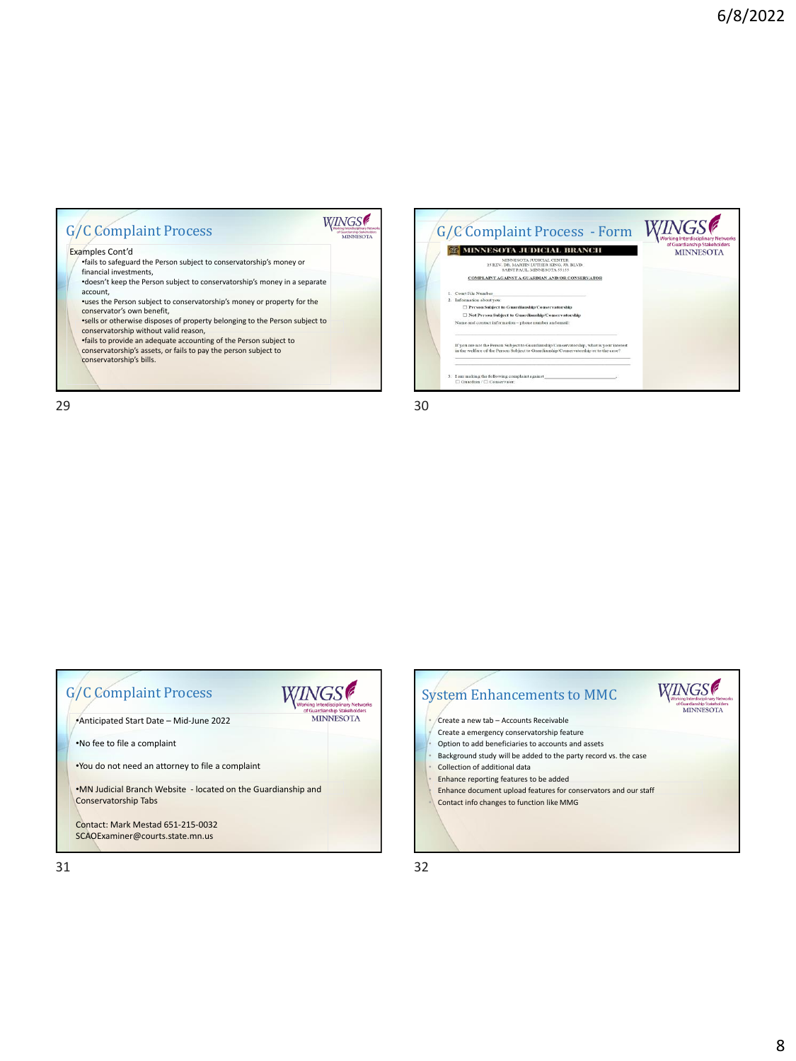#### **WINGS** G/C Complaint Process Examples Cont'd •fails to safeguard the Person subject to conservatorship's money or financial investments, •doesn't keep the Person subject to conservatorship's money in a separate account,

•uses the Person subject to conservatorship's money or property for the conservator's own benefit,

•sells or otherwise disposes of property belonging to the Person subject to conservatorship without valid reason,

•fails to provide an adequate accounting of the Person subject to conservatorship's assets, or fails to pay the person subject to

conservatorship's bills.



 $29$  30

Guardianship Stal<br>MINNESC

| <b>G/C Complaint Process</b>                                                          |                                                  |
|---------------------------------------------------------------------------------------|--------------------------------------------------|
| Anticipated Start Date - Mid-June 2022                                                | of Guardianship Stakeholders<br><b>MINNESOTA</b> |
| .No fee to file a complaint                                                           |                                                  |
| . You do not need an attorney to file a complaint                                     |                                                  |
| .MN Judicial Branch Website - located on the Guardianship and<br>Conservatorship Tabs |                                                  |
| Contact: Mark Mestad 651-215-0032<br>SCAOExaminer@courts.state.mn.us                  |                                                  |

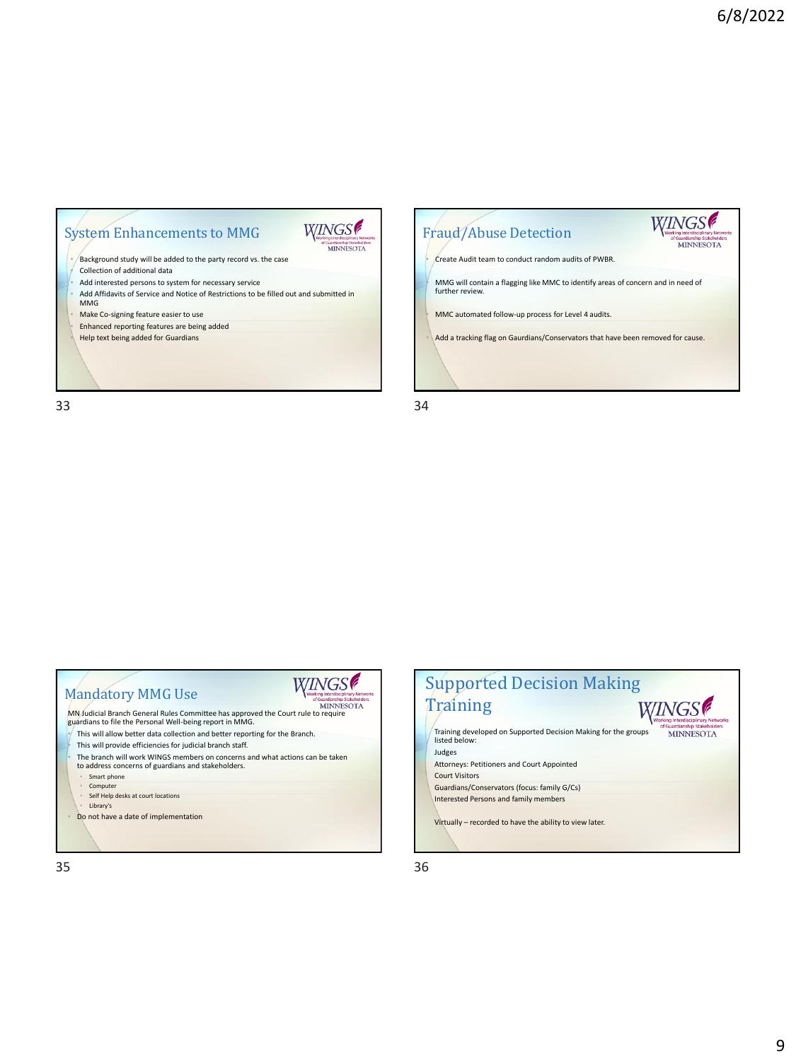# System Enhancements to MMG

• Background study will be added to the party record vs. the case • Collection of additional data

- 
- ∙ Add interested persons to system for necessary service<br>∙ Add Affidavits of Service and Notice of Restrictions to be filled out and submitted in<br>■ MMG
- Make Co-signing feature easier to use
- Enhanced reporting features are being added • Help text being added for Guardians

33 34



WINGS<sup>®</sup>

Suardianship Stakeholde<br>MINNESOTA

| <b>Mandatory MMG Use</b>                                                                                                                      | <b>MINNESOTA</b> |
|-----------------------------------------------------------------------------------------------------------------------------------------------|------------------|
| MN Judicial Branch General Rules Committee has approved the Court rule to require<br>guardians to file the Personal Well-being report in MMG. |                  |
| This will allow better data collection and better reporting for the Branch.                                                                   |                  |
| This will provide efficiencies for judicial branch staff.                                                                                     |                  |
| The branch will work WINGS members on concerns and what actions can be taken<br>to address concerns of guardians and stakeholders.            |                  |
| Smart phone                                                                                                                                   |                  |
| Computer                                                                                                                                      |                  |
| Self Help desks at court locations                                                                                                            |                  |
| Library's                                                                                                                                     |                  |
| Do not have a date of implementation                                                                                                          |                  |
|                                                                                                                                               |                  |